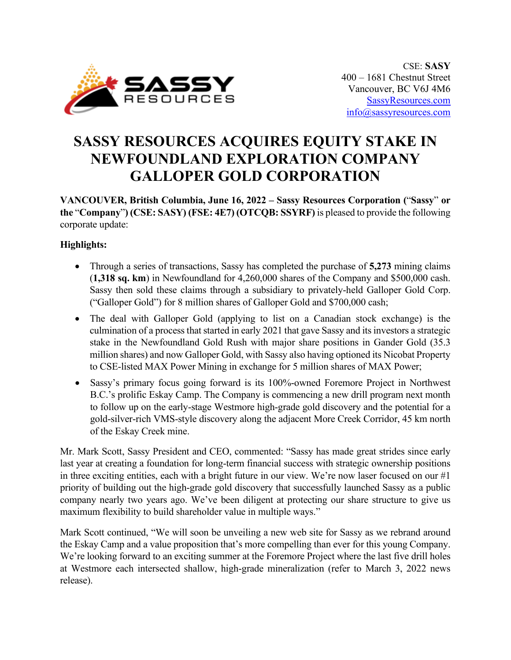

# **SASSY RESOURCES ACQUIRES EQUITY STAKE IN NEWFOUNDLAND EXPLORATION COMPANY GALLOPER GOLD CORPORATION**

**VANCOUVER, British Columbia, June 16, 2022 – Sassy Resources Corporation (**"**Sassy**" **or the** "**Company**"**) (CSE: SASY) (FSE: 4E7) (OTCQB: SSYRF)** is pleased to provide the following corporate update:

## **Highlights:**

- Through a series of transactions, Sassy has completed the purchase of **5,273** mining claims (**1,318 sq. km**) in Newfoundland for 4,260,000 shares of the Company and \$500,000 cash. Sassy then sold these claims through a subsidiary to privately-held Galloper Gold Corp. ("Galloper Gold") for 8 million shares of Galloper Gold and \$700,000 cash;
- The deal with Galloper Gold (applying to list on a Canadian stock exchange) is the culmination of a process that started in early 2021 that gave Sassy and its investors a strategic stake in the Newfoundland Gold Rush with major share positions in Gander Gold (35.3 million shares) and now Galloper Gold, with Sassy also having optioned its Nicobat Property to CSE-listed MAX Power Mining in exchange for 5 million shares of MAX Power;
- Sassy's primary focus going forward is its 100%-owned Foremore Project in Northwest B.C.'s prolific Eskay Camp. The Company is commencing a new drill program next month to follow up on the early-stage Westmore high-grade gold discovery and the potential for a gold-silver-rich VMS-style discovery along the adjacent More Creek Corridor, 45 km north of the Eskay Creek mine.

Mr. Mark Scott, Sassy President and CEO, commented: "Sassy has made great strides since early last year at creating a foundation for long-term financial success with strategic ownership positions in three exciting entities, each with a bright future in our view. We're now laser focused on our #1 priority of building out the high-grade gold discovery that successfully launched Sassy as a public company nearly two years ago. We've been diligent at protecting our share structure to give us maximum flexibility to build shareholder value in multiple ways."

Mark Scott continued, "We will soon be unveiling a new web site for Sassy as we rebrand around the Eskay Camp and a value proposition that's more compelling than ever for this young Company. We're looking forward to an exciting summer at the Foremore Project where the last five drill holes at Westmore each intersected shallow, high-grade mineralization (refer to March 3, 2022 news release).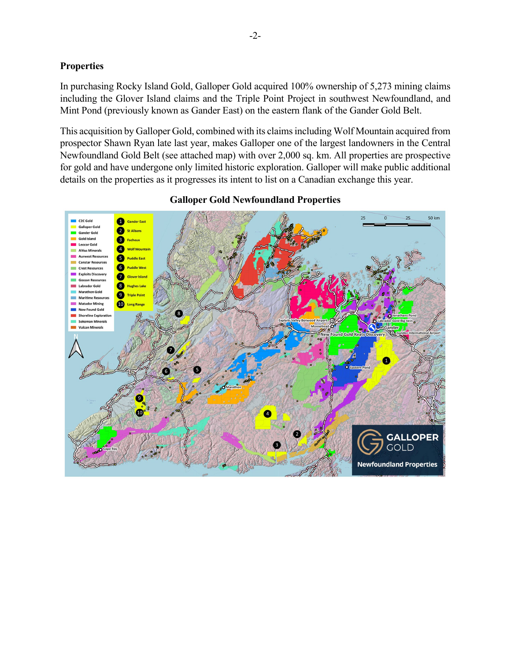#### **Properties**

In purchasing Rocky Island Gold, Galloper Gold acquired 100% ownership of 5,273 mining claims including the Glover Island claims and the Triple Point Project in southwest Newfoundland, and Mint Pond (previously known as Gander East) on the eastern flank of the Gander Gold Belt.

This acquisition by Galloper Gold, combined with its claims including Wolf Mountain acquired from prospector Shawn Ryan late last year, makes Galloper one of the largest landowners in the Central Newfoundland Gold Belt (see attached map) with over 2,000 sq. km. All properties are prospective for gold and have undergone only limited historic exploration. Galloper will make public additional details on the properties as it progresses its intent to list on a Canadian exchange this year.



#### **Galloper Gold Newfoundland Properties**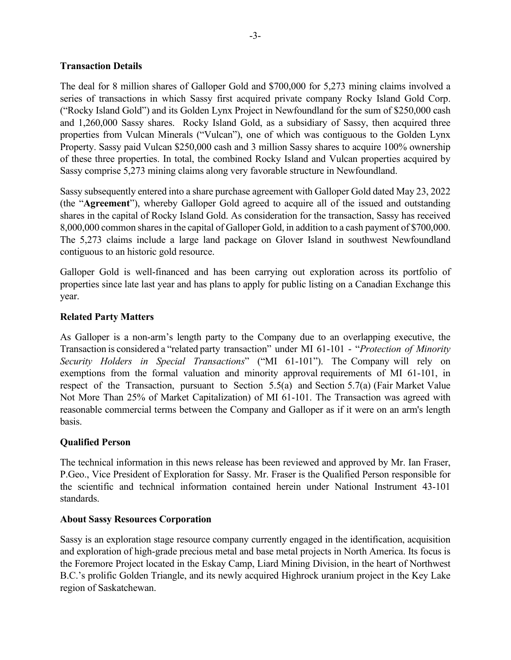#### **Transaction Details**

The deal for 8 million shares of Galloper Gold and \$700,000 for 5,273 mining claims involved a series of transactions in which Sassy first acquired private company Rocky Island Gold Corp. ("Rocky Island Gold") and its Golden Lynx Project in Newfoundland for the sum of \$250,000 cash and 1,260,000 Sassy shares. Rocky Island Gold, as a subsidiary of Sassy, then acquired three properties from Vulcan Minerals ("Vulcan"), one of which was contiguous to the Golden Lynx Property. Sassy paid Vulcan \$250,000 cash and 3 million Sassy shares to acquire 100% ownership of these three properties. In total, the combined Rocky Island and Vulcan properties acquired by Sassy comprise 5,273 mining claims along very favorable structure in Newfoundland.

Sassy subsequently entered into a share purchase agreement with Galloper Gold dated May 23, 2022 (the "**Agreement**"), whereby Galloper Gold agreed to acquire all of the issued and outstanding shares in the capital of Rocky Island Gold. As consideration for the transaction, Sassy has received 8,000,000 common shares in the capital of Galloper Gold, in addition to a cash payment of \$700,000. The 5,273 claims include a large land package on Glover Island in southwest Newfoundland contiguous to an historic gold resource.

Galloper Gold is well-financed and has been carrying out exploration across its portfolio of properties since late last year and has plans to apply for public listing on a Canadian Exchange this year.

#### **Related Party Matters**

As Galloper is a non-arm's length party to the Company due to an overlapping executive, the Transaction is considered a "related party transaction" under MI 61-101 - "*Protection of Minority Security Holders in Special Transactions*" ("MI 61-101"). The Company will rely on exemptions from the formal valuation and minority approval requirements of MI 61-101, in respect of the Transaction, pursuant to Section 5.5(a) and Section 5.7(a) (Fair Market Value Not More Than 25% of Market Capitalization) of MI 61-101. The Transaction was agreed with reasonable commercial terms between the Company and Galloper as if it were on an arm's length basis.

### **Qualified Person**

The technical information in this news release has been reviewed and approved by Mr. Ian Fraser, P.Geo., Vice President of Exploration for Sassy. Mr. Fraser is the Qualified Person responsible for the scientific and technical information contained herein under National Instrument 43-101 standards.

#### **About Sassy Resources Corporation**

Sassy is an exploration stage resource company currently engaged in the identification, acquisition and exploration of high-grade precious metal and base metal projects in North America. Its focus is the Foremore Project located in the Eskay Camp, Liard Mining Division, in the heart of Northwest B.C.'s prolific Golden Triangle, and its newly acquired Highrock uranium project in the Key Lake region of Saskatchewan.